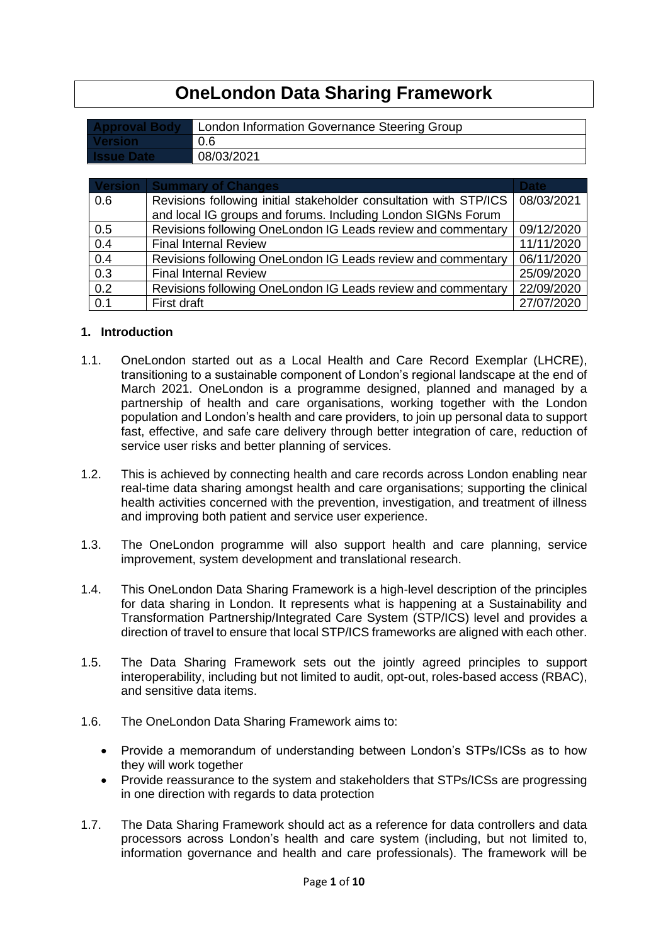# **OneLondon Data Sharing Framework**

| 0.6<br>l Version i | <b>Approval Body</b> | London Information Governance Steering Group |
|--------------------|----------------------|----------------------------------------------|
|                    |                      |                                              |
|                    | l Issue Date         | 08/03/2021                                   |

|     | <b>Version   Summary of Changes</b>                               | <b>Date</b> |
|-----|-------------------------------------------------------------------|-------------|
| 0.6 | Revisions following initial stakeholder consultation with STP/ICS | 08/03/2021  |
|     | and local IG groups and forums. Including London SIGNs Forum      |             |
| 0.5 | Revisions following OneLondon IG Leads review and commentary      | 09/12/2020  |
| 0.4 | <b>Final Internal Review</b>                                      | 11/11/2020  |
| 0.4 | Revisions following OneLondon IG Leads review and commentary      | 06/11/2020  |
| 0.3 | <b>Final Internal Review</b>                                      | 25/09/2020  |
| 0.2 | Revisions following OneLondon IG Leads review and commentary      | 22/09/2020  |
| 0.1 | First draft                                                       | 27/07/2020  |

## **1. Introduction**

- 1.1. OneLondon started out as a Local Health and Care Record Exemplar (LHCRE), transitioning to a sustainable component of London's regional landscape at the end of March 2021. OneLondon is a programme designed, planned and managed by a partnership of health and care organisations, working together with the London population and London's health and care providers, to join up personal data to support fast, effective, and safe care delivery through better integration of care, reduction of service user risks and better planning of services.
- 1.2. This is achieved by connecting health and care records across London enabling near real-time data sharing amongst health and care organisations; supporting the clinical health activities concerned with the prevention, investigation, and treatment of illness and improving both patient and service user experience.
- 1.3. The OneLondon programme will also support health and care planning, service improvement, system development and translational research.
- 1.4. This OneLondon Data Sharing Framework is a high-level description of the principles for data sharing in London. It represents what is happening at a Sustainability and Transformation Partnership/Integrated Care System (STP/ICS) level and provides a direction of travel to ensure that local STP/ICS frameworks are aligned with each other.
- 1.5. The Data Sharing Framework sets out the jointly agreed principles to support interoperability, including but not limited to audit, opt-out, roles-based access (RBAC), and sensitive data items.
- 1.6. The OneLondon Data Sharing Framework aims to:
	- Provide a memorandum of understanding between London's STPs/ICSs as to how they will work together
	- Provide reassurance to the system and stakeholders that STPs/ICSs are progressing in one direction with regards to data protection
- 1.7. The Data Sharing Framework should act as a reference for data controllers and data processors across London's health and care system (including, but not limited to, information governance and health and care professionals). The framework will be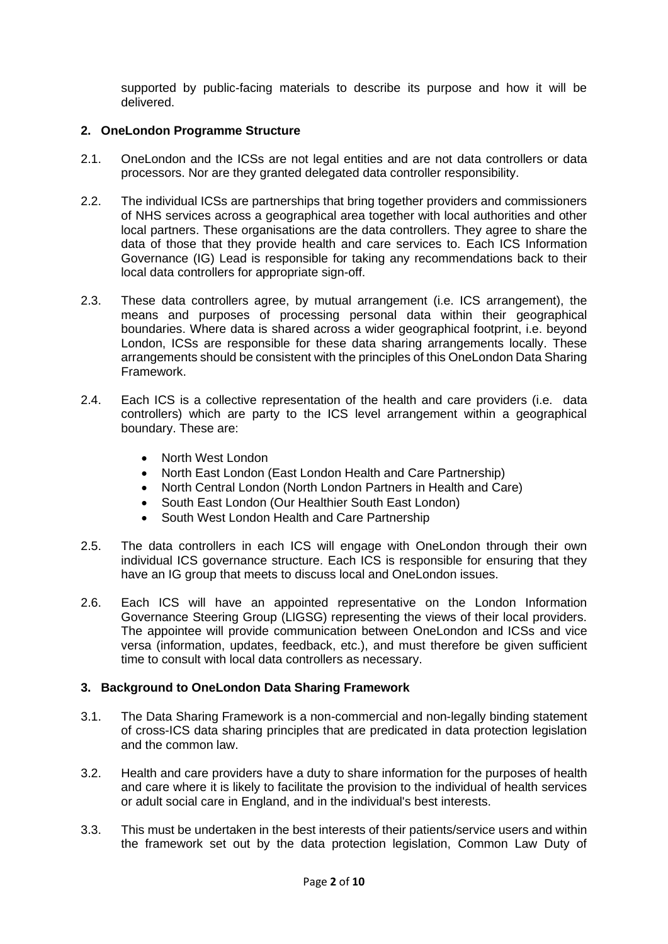supported by public-facing materials to describe its purpose and how it will be delivered.

#### **2. OneLondon Programme Structure**

- 2.1. OneLondon and the ICSs are not legal entities and are not data controllers or data processors. Nor are they granted delegated data controller responsibility.
- 2.2. The individual ICSs are partnerships that bring together providers and commissioners of NHS services across a geographical area together with local authorities and other local partners. These organisations are the data controllers. They agree to share the data of those that they provide health and care services to. Each ICS Information Governance (IG) Lead is responsible for taking any recommendations back to their local data controllers for appropriate sign-off.
- 2.3. These data controllers agree, by mutual arrangement (i.e. ICS arrangement), the means and purposes of processing personal data within their geographical boundaries. Where data is shared across a wider geographical footprint, i.e. beyond London, ICSs are responsible for these data sharing arrangements locally. These arrangements should be consistent with the principles of this OneLondon Data Sharing Framework.
- 2.4. Each ICS is a collective representation of the health and care providers (i.e. data controllers) which are party to the ICS level arrangement within a geographical boundary. These are:
	- North West London
	- North East London (East London Health and Care Partnership)
	- North Central London (North London Partners in Health and Care)
	- South East London (Our Healthier South East London)
	- South West London Health and Care Partnership
- 2.5. The data controllers in each ICS will engage with OneLondon through their own individual ICS governance structure. Each ICS is responsible for ensuring that they have an IG group that meets to discuss local and OneLondon issues.
- 2.6. Each ICS will have an appointed representative on the London Information Governance Steering Group (LIGSG) representing the views of their local providers. The appointee will provide communication between OneLondon and ICSs and vice versa (information, updates, feedback, etc.), and must therefore be given sufficient time to consult with local data controllers as necessary.

#### **3. Background to OneLondon Data Sharing Framework**

- 3.1. The Data Sharing Framework is a non-commercial and non-legally binding statement of cross-ICS data sharing principles that are predicated in data protection legislation and the common law.
- 3.2. Health and care providers have a duty to share information for the purposes of health and care where it is likely to facilitate the provision to the individual of health services or adult social care in England, and in the individual's best interests.
- 3.3. This must be undertaken in the best interests of their patients/service users and within the framework set out by the data protection legislation, Common Law Duty of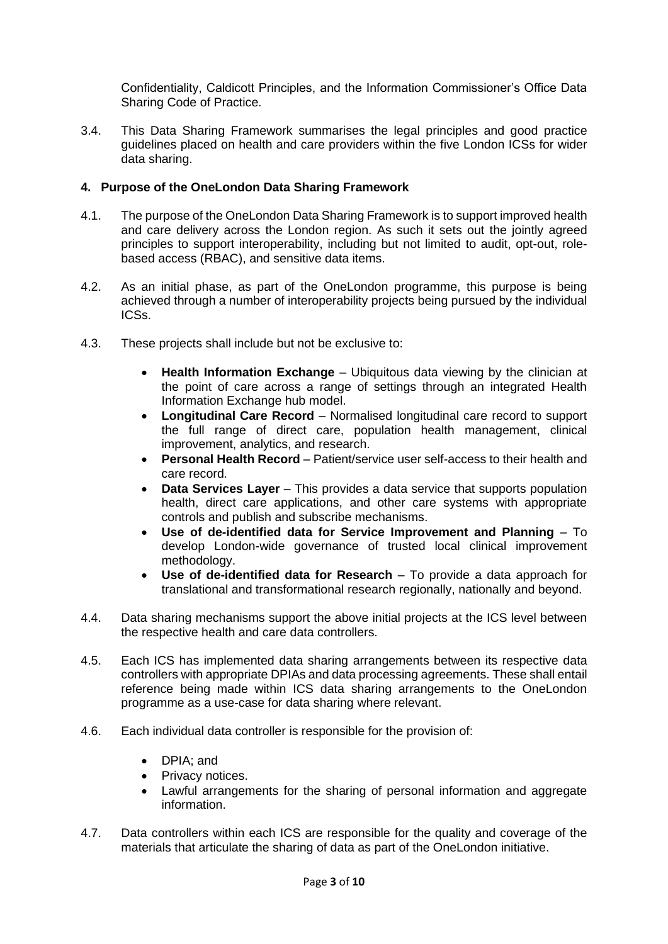Confidentiality, Caldicott Principles, and the Information Commissioner's Office Data Sharing Code of Practice.

3.4. This Data Sharing Framework summarises the legal principles and good practice guidelines placed on health and care providers within the five London ICSs for wider data sharing.

# **4. Purpose of the OneLondon Data Sharing Framework**

- 4.1. The purpose of the OneLondon Data Sharing Framework is to support improved health and care delivery across the London region. As such it sets out the jointly agreed principles to support interoperability, including but not limited to audit, opt-out, rolebased access (RBAC), and sensitive data items.
- 4.2. As an initial phase, as part of the OneLondon programme, this purpose is being achieved through a number of interoperability projects being pursued by the individual ICSs.
- 4.3. These projects shall include but not be exclusive to:
	- **Health Information Exchange** Ubiquitous data viewing by the clinician at the point of care across a range of settings through an integrated Health Information Exchange hub model.
	- **Longitudinal Care Record** Normalised longitudinal care record to support the full range of direct care, population health management, clinical improvement, analytics, and research.
	- **Personal Health Record** Patient/service user self-access to their health and care record.
	- **Data Services Layer** This provides a data service that supports population health, direct care applications, and other care systems with appropriate controls and publish and subscribe mechanisms.
	- **Use of de-identified data for Service Improvement and Planning** To develop London-wide governance of trusted local clinical improvement methodology.
	- **Use of de-identified data for Research** To provide a data approach for translational and transformational research regionally, nationally and beyond.
- 4.4. Data sharing mechanisms support the above initial projects at the ICS level between the respective health and care data controllers.
- 4.5. Each ICS has implemented data sharing arrangements between its respective data controllers with appropriate DPIAs and data processing agreements. These shall entail reference being made within ICS data sharing arrangements to the OneLondon programme as a use-case for data sharing where relevant.
- 4.6. Each individual data controller is responsible for the provision of:
	- DPIA; and
	- Privacy notices.
	- Lawful arrangements for the sharing of personal information and aggregate information.
- 4.7. Data controllers within each ICS are responsible for the quality and coverage of the materials that articulate the sharing of data as part of the OneLondon initiative.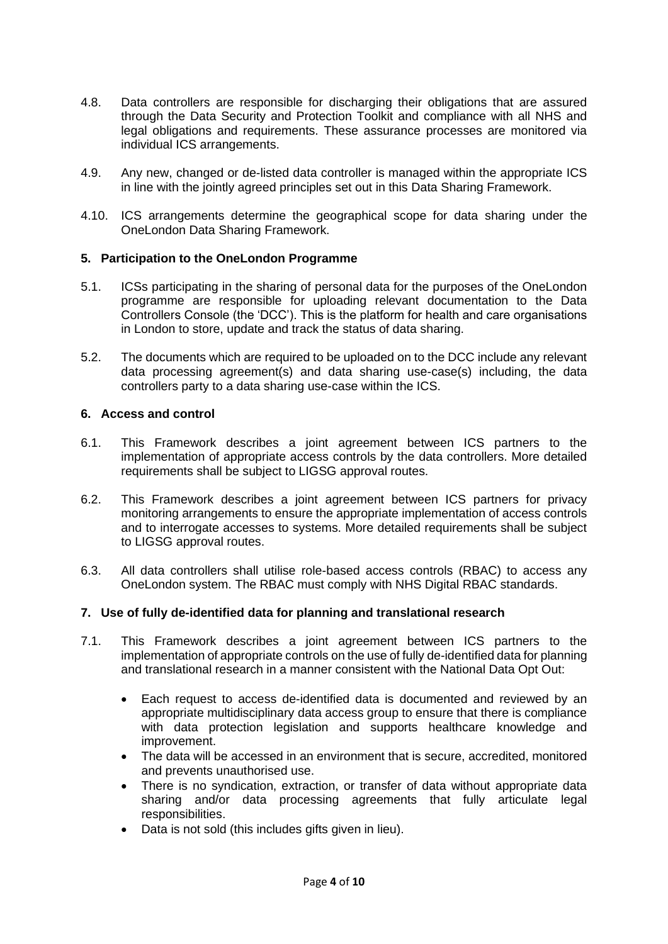- 4.8. Data controllers are responsible for discharging their obligations that are assured through the Data Security and Protection Toolkit and compliance with all NHS and legal obligations and requirements. These assurance processes are monitored via individual ICS arrangements.
- 4.9. Any new, changed or de-listed data controller is managed within the appropriate ICS in line with the jointly agreed principles set out in this Data Sharing Framework.
- 4.10. ICS arrangements determine the geographical scope for data sharing under the OneLondon Data Sharing Framework.

#### **5. Participation to the OneLondon Programme**

- 5.1. ICSs participating in the sharing of personal data for the purposes of the OneLondon programme are responsible for uploading relevant documentation to the Data Controllers Console (the 'DCC'). This is the platform for health and care organisations in London to store, update and track the status of data sharing.
- 5.2. The documents which are required to be uploaded on to the DCC include any relevant data processing agreement(s) and data sharing use-case(s) including, the data controllers party to a data sharing use-case within the ICS.

## **6. Access and control**

- 6.1. This Framework describes a joint agreement between ICS partners to the implementation of appropriate access controls by the data controllers. More detailed requirements shall be subject to LIGSG approval routes.
- 6.2. This Framework describes a joint agreement between ICS partners for privacy monitoring arrangements to ensure the appropriate implementation of access controls and to interrogate accesses to systems. More detailed requirements shall be subject to LIGSG approval routes.
- 6.3. All data controllers shall utilise role-based access controls (RBAC) to access any OneLondon system. The RBAC must comply with NHS Digital RBAC standards.

#### **7. Use of fully de-identified data for planning and translational research**

- 7.1. This Framework describes a joint agreement between ICS partners to the implementation of appropriate controls on the use of fully de-identified data for planning and translational research in a manner consistent with the National Data Opt Out:
	- Each request to access de-identified data is documented and reviewed by an appropriate multidisciplinary data access group to ensure that there is compliance with data protection legislation and supports healthcare knowledge and improvement.
	- The data will be accessed in an environment that is secure, accredited, monitored and prevents unauthorised use.
	- There is no syndication, extraction, or transfer of data without appropriate data sharing and/or data processing agreements that fully articulate legal responsibilities.
	- Data is not sold (this includes gifts given in lieu).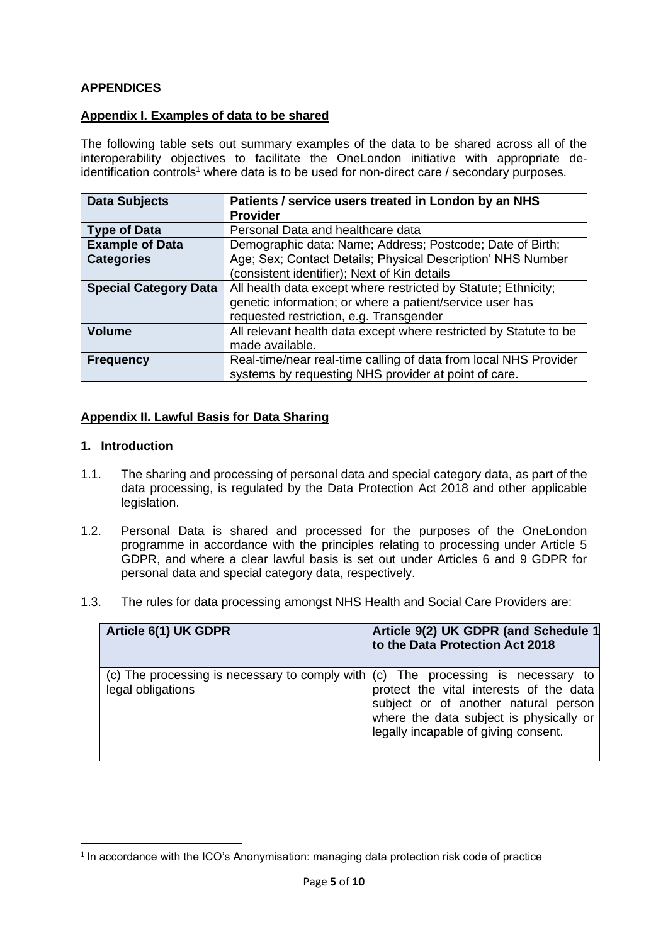# **APPENDICES**

## **Appendix I. Examples of data to be shared**

The following table sets out summary examples of the data to be shared across all of the interoperability objectives to facilitate the OneLondon initiative with appropriate de $i$ dentification controls<sup>1</sup> where data is to be used for non-direct care / secondary purposes.

| <b>Data Subjects</b>         | Patients / service users treated in London by an NHS              |  |
|------------------------------|-------------------------------------------------------------------|--|
|                              | <b>Provider</b>                                                   |  |
| <b>Type of Data</b>          | Personal Data and healthcare data                                 |  |
| <b>Example of Data</b>       | Demographic data: Name; Address; Postcode; Date of Birth;         |  |
| <b>Categories</b>            | Age; Sex; Contact Details; Physical Description' NHS Number       |  |
|                              | (consistent identifier); Next of Kin details                      |  |
| <b>Special Category Data</b> | All health data except where restricted by Statute; Ethnicity;    |  |
|                              | genetic information; or where a patient/service user has          |  |
|                              | requested restriction, e.g. Transgender                           |  |
| <b>Volume</b>                | All relevant health data except where restricted by Statute to be |  |
|                              | made available.                                                   |  |
| <b>Frequency</b>             | Real-time/near real-time calling of data from local NHS Provider  |  |
|                              | systems by requesting NHS provider at point of care.              |  |

#### **Appendix II. Lawful Basis for Data Sharing**

#### **1. Introduction**

- 1.1. The sharing and processing of personal data and special category data, as part of the data processing, is regulated by the Data Protection Act 2018 and other applicable legislation.
- 1.2. Personal Data is shared and processed for the purposes of the OneLondon programme in accordance with the principles relating to processing under Article 5 GDPR, and where a clear lawful basis is set out under Articles 6 and 9 GDPR for personal data and special category data, respectively.
- 1.3. The rules for data processing amongst NHS Health and Social Care Providers are:

| Article 6(1) UK GDPR                                                                                   | Article 9(2) UK GDPR (and Schedule 1<br>to the Data Protection Act 2018                                                                                            |
|--------------------------------------------------------------------------------------------------------|--------------------------------------------------------------------------------------------------------------------------------------------------------------------|
| (c) The processing is necessary to comply with (c) The processing is necessary to<br>legal obligations | protect the vital interests of the data<br>subject or of another natural person<br>where the data subject is physically or<br>legally incapable of giving consent. |

<sup>&</sup>lt;sup>1</sup> In accordance with the ICO's Anonymisation: managing data protection risk code of practice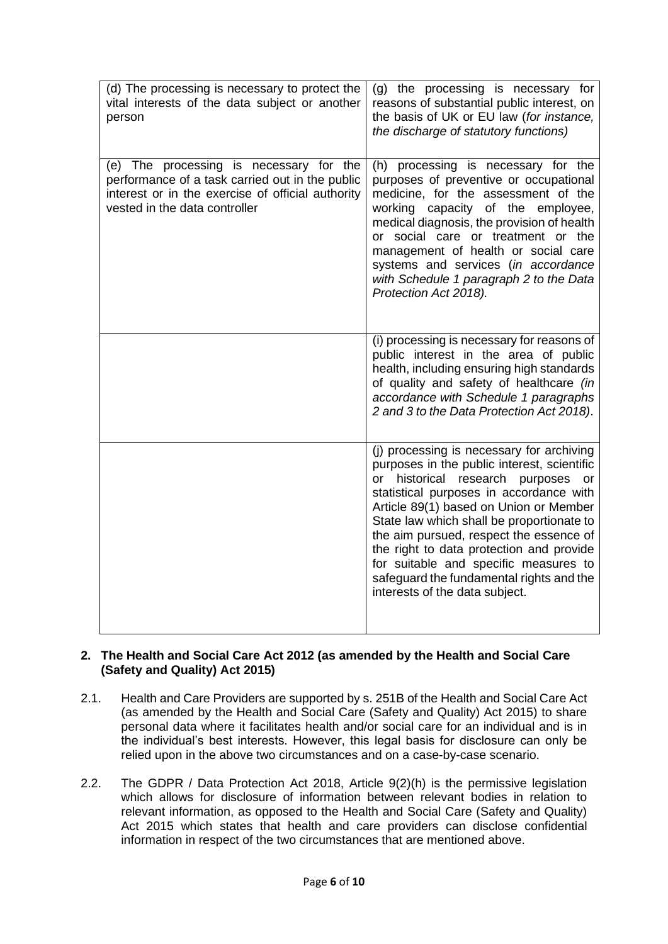| (d) The processing is necessary to protect the<br>vital interests of the data subject or another<br>person                                                                       | (g) the processing is necessary for<br>reasons of substantial public interest, on<br>the basis of UK or EU law (for instance,<br>the discharge of statutory functions)                                                                                                                                                                                                                                                                                                                           |
|----------------------------------------------------------------------------------------------------------------------------------------------------------------------------------|--------------------------------------------------------------------------------------------------------------------------------------------------------------------------------------------------------------------------------------------------------------------------------------------------------------------------------------------------------------------------------------------------------------------------------------------------------------------------------------------------|
| (e) The processing is necessary for the<br>performance of a task carried out in the public<br>interest or in the exercise of official authority<br>vested in the data controller | (h) processing is necessary for the<br>purposes of preventive or occupational<br>medicine, for the assessment of the<br>working capacity of the employee,<br>medical diagnosis, the provision of health<br>or social care or treatment or the<br>management of health or social care<br>systems and services (in accordance<br>with Schedule 1 paragraph 2 to the Data<br>Protection Act 2018).                                                                                                  |
|                                                                                                                                                                                  | (i) processing is necessary for reasons of<br>public interest in the area of public<br>health, including ensuring high standards<br>of quality and safety of healthcare (in<br>accordance with Schedule 1 paragraphs<br>2 and 3 to the Data Protection Act 2018).                                                                                                                                                                                                                                |
|                                                                                                                                                                                  | (j) processing is necessary for archiving<br>purposes in the public interest, scientific<br>historical<br>research<br>purposes<br>$\alpha$<br>or<br>statistical purposes in accordance with<br>Article 89(1) based on Union or Member<br>State law which shall be proportionate to<br>the aim pursued, respect the essence of<br>the right to data protection and provide<br>for suitable and specific measures to<br>safeguard the fundamental rights and the<br>interests of the data subject. |

#### **2. The Health and Social Care Act 2012 (as amended by the Health and Social Care (Safety and Quality) Act 2015)**

- 2.1. Health and Care Providers are supported by s. 251B of the Health and Social Care Act (as amended by the Health and Social Care (Safety and Quality) Act 2015) to share personal data where it facilitates health and/or social care for an individual and is in the individual's best interests. However, this legal basis for disclosure can only be relied upon in the above two circumstances and on a case-by-case scenario.
- 2.2. The GDPR / Data Protection Act 2018, Article 9(2)(h) is the permissive legislation which allows for disclosure of information between relevant bodies in relation to relevant information, as opposed to the Health and Social Care (Safety and Quality) Act 2015 which states that health and care providers can disclose confidential information in respect of the two circumstances that are mentioned above.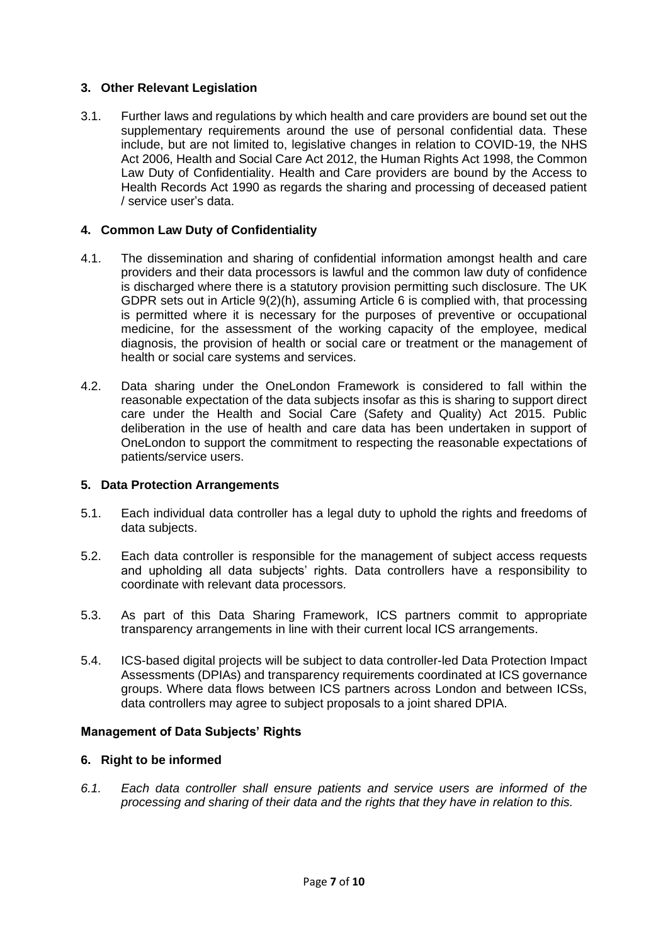# **3. Other Relevant Legislation**

3.1. Further laws and regulations by which health and care providers are bound set out the supplementary requirements around the use of personal confidential data. These include, but are not limited to, legislative changes in relation to COVID-19, the NHS Act 2006, Health and Social Care Act 2012, the Human Rights Act 1998, the Common Law Duty of Confidentiality. Health and Care providers are bound by the Access to Health Records Act 1990 as regards the sharing and processing of deceased patient / service user's data.

## **4. Common Law Duty of Confidentiality**

- 4.1. The dissemination and sharing of confidential information amongst health and care providers and their data processors is lawful and the common law duty of confidence is discharged where there is a statutory provision permitting such disclosure. The UK GDPR sets out in Article 9(2)(h), assuming Article 6 is complied with, that processing is permitted where it is necessary for the purposes of preventive or occupational medicine, for the assessment of the working capacity of the employee, medical diagnosis, the provision of health or social care or treatment or the management of health or social care systems and services.
- 4.2. Data sharing under the OneLondon Framework is considered to fall within the reasonable expectation of the data subjects insofar as this is sharing to support direct care under the Health and Social Care (Safety and Quality) Act 2015. Public deliberation in the use of health and care data has been undertaken in support of OneLondon to support the commitment to respecting the reasonable expectations of patients/service users.

#### **5. Data Protection Arrangements**

- 5.1. Each individual data controller has a legal duty to uphold the rights and freedoms of data subjects.
- 5.2. Each data controller is responsible for the management of subject access requests and upholding all data subjects' rights. Data controllers have a responsibility to coordinate with relevant data processors.
- 5.3. As part of this Data Sharing Framework, ICS partners commit to appropriate transparency arrangements in line with their current local ICS arrangements.
- 5.4. ICS-based digital projects will be subject to data controller-led Data Protection Impact Assessments (DPIAs) and transparency requirements coordinated at ICS governance groups. Where data flows between ICS partners across London and between ICSs, data controllers may agree to subject proposals to a joint shared DPIA.

#### **Management of Data Subjects' Rights**

#### **6. Right to be informed**

*6.1. Each data controller shall ensure patients and service users are informed of the processing and sharing of their data and the rights that they have in relation to this.*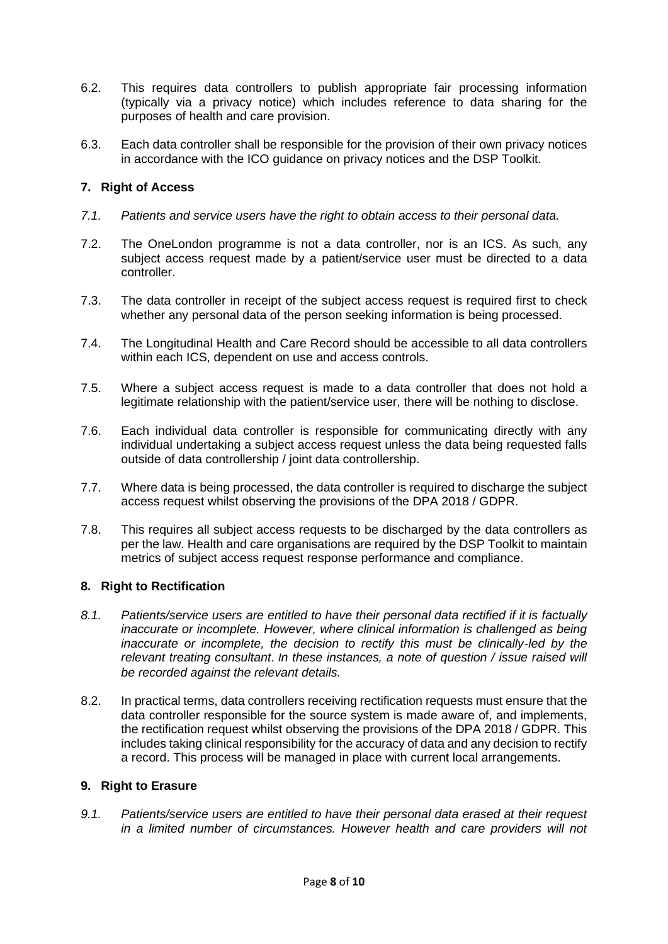- 6.2. This requires data controllers to publish appropriate fair processing information (typically via a privacy notice) which includes reference to data sharing for the purposes of health and care provision.
- 6.3. Each data controller shall be responsible for the provision of their own privacy notices in accordance with the ICO guidance on privacy notices and the DSP Toolkit.

# **7. Right of Access**

- *7.1. Patients and service users have the right to obtain access to their personal data.*
- 7.2. The OneLondon programme is not a data controller, nor is an ICS. As such, any subject access request made by a patient/service user must be directed to a data controller.
- 7.3. The data controller in receipt of the subject access request is required first to check whether any personal data of the person seeking information is being processed.
- 7.4. The Longitudinal Health and Care Record should be accessible to all data controllers within each ICS, dependent on use and access controls.
- 7.5. Where a subject access request is made to a data controller that does not hold a legitimate relationship with the patient/service user, there will be nothing to disclose.
- 7.6. Each individual data controller is responsible for communicating directly with any individual undertaking a subject access request unless the data being requested falls outside of data controllership / joint data controllership.
- 7.7. Where data is being processed, the data controller is required to discharge the subject access request whilst observing the provisions of the DPA 2018 / GDPR.
- 7.8. This requires all subject access requests to be discharged by the data controllers as per the law. Health and care organisations are required by the DSP Toolkit to maintain metrics of subject access request response performance and compliance.

## **8. Right to Rectification**

- *8.1. Patients/service users are entitled to have their personal data rectified if it is factually inaccurate or incomplete. However, where clinical information is challenged as being* inaccurate or incomplete, the decision to rectify this must be clinically-led by the *relevant treating consultant*. *In these instances, a note of question / issue raised will be recorded against the relevant details.*
- 8.2. In practical terms, data controllers receiving rectification requests must ensure that the data controller responsible for the source system is made aware of, and implements, the rectification request whilst observing the provisions of the DPA 2018 / GDPR. This includes taking clinical responsibility for the accuracy of data and any decision to rectify a record. This process will be managed in place with current local arrangements.

#### **9. Right to Erasure**

*9.1. Patients/service users are entitled to have their personal data erased at their request in a limited number of circumstances. However health and care providers will not*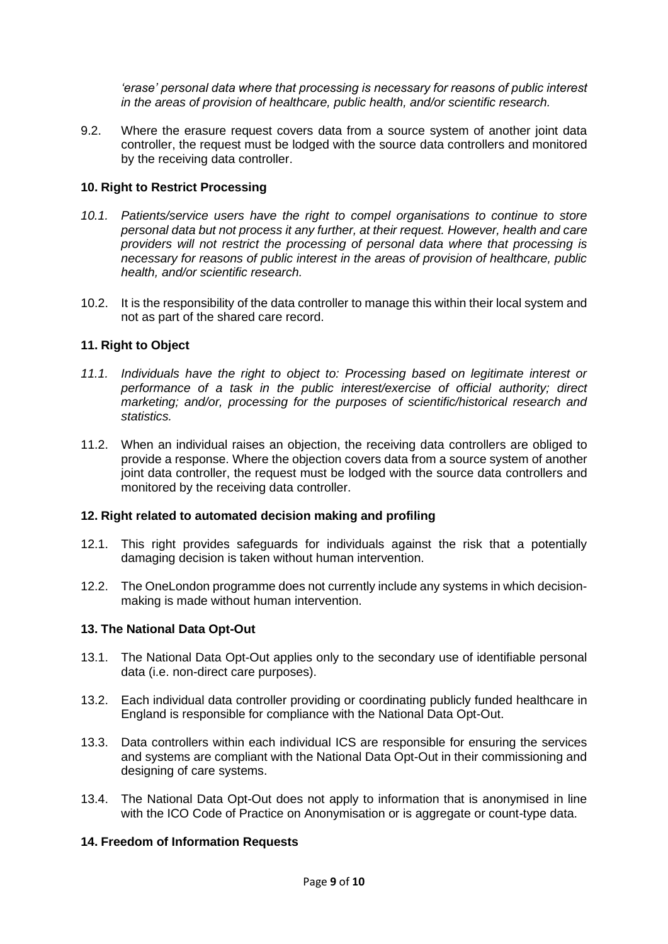*'erase' personal data where that processing is necessary for reasons of public interest in the areas of provision of healthcare, public health, and/or scientific research.* 

9.2. Where the erasure request covers data from a source system of another joint data controller, the request must be lodged with the source data controllers and monitored by the receiving data controller.

## **10. Right to Restrict Processing**

- *10.1. Patients/service users have the right to compel organisations to continue to store personal data but not process it any further, at their request. However, health and care providers will not restrict the processing of personal data where that processing is necessary for reasons of public interest in the areas of provision of healthcare, public health, and/or scientific research.*
- 10.2. It is the responsibility of the data controller to manage this within their local system and not as part of the shared care record.

## **11. Right to Object**

- *11.1. Individuals have the right to object to: Processing based on legitimate interest or performance of a task in the public interest/exercise of official authority; direct marketing; and/or, processing for the purposes of scientific/historical research and statistics.*
- 11.2. When an individual raises an objection, the receiving data controllers are obliged to provide a response. Where the objection covers data from a source system of another joint data controller, the request must be lodged with the source data controllers and monitored by the receiving data controller.

#### **12. Right related to automated decision making and profiling**

- 12.1. This right provides safeguards for individuals against the risk that a potentially damaging decision is taken without human intervention.
- 12.2. The OneLondon programme does not currently include any systems in which decisionmaking is made without human intervention.

#### **13. The National Data Opt-Out**

- 13.1. The National Data Opt-Out applies only to the secondary use of identifiable personal data (i.e. non-direct care purposes).
- 13.2. Each individual data controller providing or coordinating publicly funded healthcare in England is responsible for compliance with the National Data Opt-Out.
- 13.3. Data controllers within each individual ICS are responsible for ensuring the services and systems are compliant with the National Data Opt-Out in their commissioning and designing of care systems.
- 13.4. The National Data Opt-Out does not apply to information that is anonymised in line with the ICO Code of Practice on Anonymisation or is aggregate or count-type data.

## **14. Freedom of Information Requests**